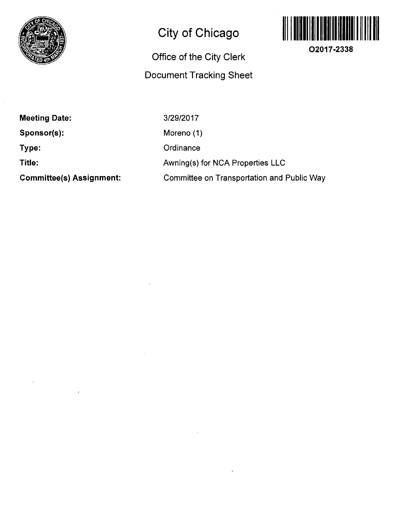

## **City of Chicago**

## **Office of the City Clerk Docunnent Tracking Sheet**



**O2017-2338** 

**Meeting Date: Sponsor(s): Type: Title: Committee(s) Assignment:** 

3/29/2017 Moreno (1) **Ordinance** Awning(s) for NCA Properties LLC Committee on Transportation and Public Way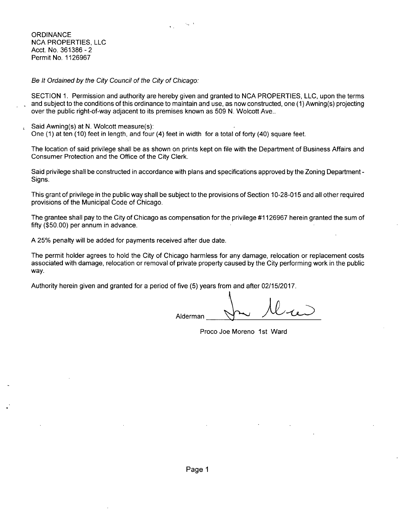

**ORDINANCE** NCA PROPERTIES, LLC Acct. No. 361386-2 Permit No. 1126967

Be It Ordained by the City Council of the City of Chicago:

SECTION 1. Permission and authority are hereby given and granted to NCA PROPERTIES, LLC, upon the terms and subiect to the conditions of this ordinance to maintain and use, as now constructed, one (1) Awning(s) projecting over the public right-of-way adjacent to its premises known as 509 N. Wolcott Ave..

Said Awning(s) at N. Wolcott measure(s): One (1) at ten (10) feet in length, and four (4) feet in width for a total of forty (40) square feet.

The location of said privilege shall be as shown on prints kept on file with the Department of Business Affairs and Consumer Protection and the Office of the City Clerk.

Said privilege shall be constructed in accordance with plans and specifications approved by the Zoning Department - Signs.

This grant of privilege in the public way shall be subject to the provisions of Section 10-28-015 and all other required provisions of the Municipal Code of Chicago.

The grantee shall pay to the City of Chicago as compensation for the privilege #1126967 herein granted the sum of fifty (\$50.00) per annum in advance.

A 25% penalty will be added for payments received after due date.

The permit holder agrees to hold the City of Chicago harmless for any damage, relocation or replacement costs associated with damage, relocation or removal of private property caused by the City performing work in the public way.

Authority herein given and granted for a period of five (5) years from and after 02/15/2017.

Alderman

Proco Joe Moreno 1st Ward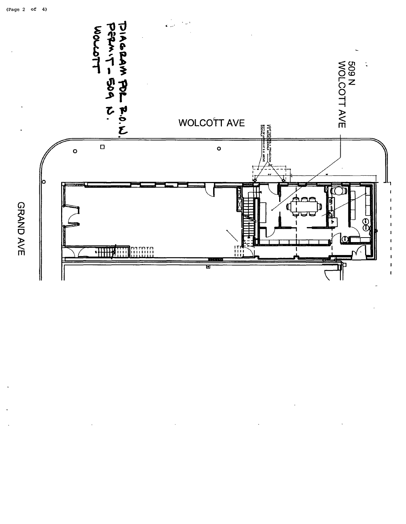

GRAND AVE